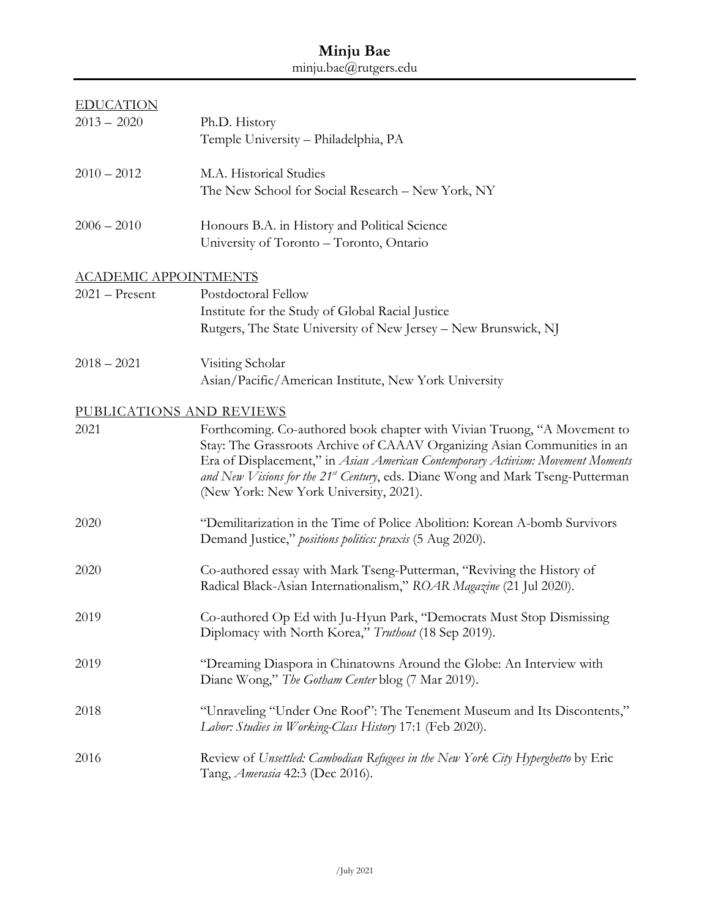## **Minju Bae**  minju.bae@rutgers.edu

| <b>EDUCATION</b><br>$2013 - 2020$ | Ph.D. History                                                                                                                                                                                                                                                                                                                                                       |
|-----------------------------------|---------------------------------------------------------------------------------------------------------------------------------------------------------------------------------------------------------------------------------------------------------------------------------------------------------------------------------------------------------------------|
|                                   | Temple University - Philadelphia, PA                                                                                                                                                                                                                                                                                                                                |
| $2010 - 2012$                     | M.A. Historical Studies                                                                                                                                                                                                                                                                                                                                             |
|                                   | The New School for Social Research - New York, NY                                                                                                                                                                                                                                                                                                                   |
| $2006 - 2010$                     | Honours B.A. in History and Political Science                                                                                                                                                                                                                                                                                                                       |
|                                   | University of Toronto - Toronto, Ontario                                                                                                                                                                                                                                                                                                                            |
| <b>ACADEMIC APPOINTMENTS</b>      |                                                                                                                                                                                                                                                                                                                                                                     |
| $2021 -$ Present                  | Postdoctoral Fellow                                                                                                                                                                                                                                                                                                                                                 |
|                                   | Institute for the Study of Global Racial Justice                                                                                                                                                                                                                                                                                                                    |
|                                   | Rutgers, The State University of New Jersey - New Brunswick, NJ                                                                                                                                                                                                                                                                                                     |
| $2018 - 2021$                     | Visiting Scholar                                                                                                                                                                                                                                                                                                                                                    |
|                                   | Asian/Pacific/American Institute, New York University                                                                                                                                                                                                                                                                                                               |
| PUBLICATIONS AND REVIEWS          |                                                                                                                                                                                                                                                                                                                                                                     |
| 2021                              | Forthcoming. Co-authored book chapter with Vivian Truong, "A Movement to<br>Stay: The Grassroots Archive of CAAAV Organizing Asian Communities in an<br>Era of Displacement," in Asian American Contemporary Activism: Movement Moments<br>and New Visions for the 21st Century, eds. Diane Wong and Mark Tseng-Putterman<br>(New York: New York University, 2021). |
| 2020                              | "Demilitarization in the Time of Police Abolition: Korean A-bomb Survivors<br>Demand Justice," positions politics: praxis (5 Aug 2020).                                                                                                                                                                                                                             |
| 2020                              | Co-authored essay with Mark Tseng-Putterman, "Reviving the History of<br>Radical Black-Asian Internationalism," ROAR Magazine (21 Jul 2020).                                                                                                                                                                                                                        |
| 2019                              | Co-authored Op Ed with Ju-Hyun Park, "Democrats Must Stop Dismissing<br>Diplomacy with North Korea," Truthout (18 Sep 2019).                                                                                                                                                                                                                                        |
| 2019                              | "Dreaming Diaspora in Chinatowns Around the Globe: An Interview with<br>Diane Wong," The Gotham Center blog (7 Mar 2019).                                                                                                                                                                                                                                           |
| 2018                              | "Unraveling "Under One Roof": The Tenement Museum and Its Discontents,"<br>Labor: Studies in Working-Class History 17:1 (Feb 2020).                                                                                                                                                                                                                                 |
| 2016                              | Review of Unsettled: Cambodian Refugees in the New York City Hyperghetto by Eric<br>Tang, <i>Amerasia</i> 42:3 (Dec 2016).                                                                                                                                                                                                                                          |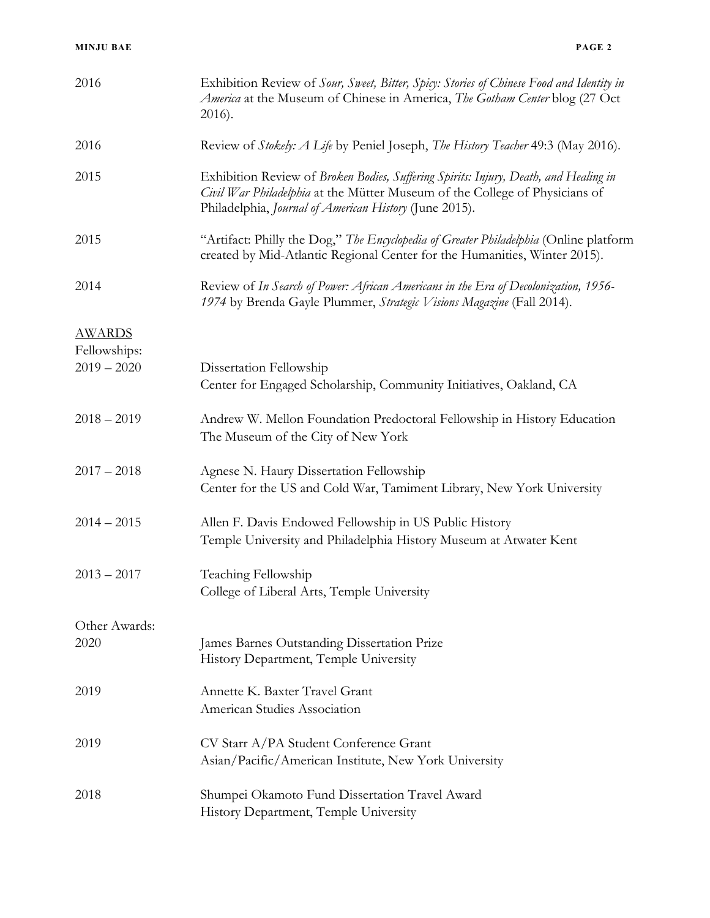| 2016                                           | Exhibition Review of Sour, Sweet, Bitter, Spicy: Stories of Chinese Food and Identity in<br>America at the Museum of Chinese in America, The Gotham Center blog (27 Oct<br>2016).                                             |
|------------------------------------------------|-------------------------------------------------------------------------------------------------------------------------------------------------------------------------------------------------------------------------------|
| 2016                                           | Review of Stokely: A Life by Peniel Joseph, The History Teacher 49:3 (May 2016).                                                                                                                                              |
| 2015                                           | Exhibition Review of Broken Bodies, Suffering Spirits: Injury, Death, and Healing in<br>Civil War Philadelphia at the Mütter Museum of the College of Physicians of<br>Philadelphia, Journal of American History (June 2015). |
| 2015                                           | "Artifact: Philly the Dog," The Encyclopedia of Greater Philadelphia (Online platform<br>created by Mid-Atlantic Regional Center for the Humanities, Winter 2015).                                                            |
| 2014                                           | Review of In Search of Power: African Americans in the Era of Decolonization, 1956-<br>1974 by Brenda Gayle Plummer, Strategic Visions Magazine (Fall 2014).                                                                  |
| <b>AWARDS</b><br>Fellowships:<br>$2019 - 2020$ | Dissertation Fellowship<br>Center for Engaged Scholarship, Community Initiatives, Oakland, CA                                                                                                                                 |
| $2018 - 2019$                                  | Andrew W. Mellon Foundation Predoctoral Fellowship in History Education<br>The Museum of the City of New York                                                                                                                 |
| $2017 - 2018$                                  | Agnese N. Haury Dissertation Fellowship<br>Center for the US and Cold War, Tamiment Library, New York University                                                                                                              |
| $2014 - 2015$                                  | Allen F. Davis Endowed Fellowship in US Public History<br>Temple University and Philadelphia History Museum at Atwater Kent                                                                                                   |
| $2013 - 2017$                                  | Teaching Fellowship<br>College of Liberal Arts, Temple University                                                                                                                                                             |
| Other Awards:                                  |                                                                                                                                                                                                                               |
| 2020                                           | James Barnes Outstanding Dissertation Prize<br>History Department, Temple University                                                                                                                                          |
| 2019                                           | Annette K. Baxter Travel Grant<br>American Studies Association                                                                                                                                                                |
| 2019                                           | CV Starr A/PA Student Conference Grant<br>Asian/Pacific/American Institute, New York University                                                                                                                               |
| 2018                                           | Shumpei Okamoto Fund Dissertation Travel Award<br>History Department, Temple University                                                                                                                                       |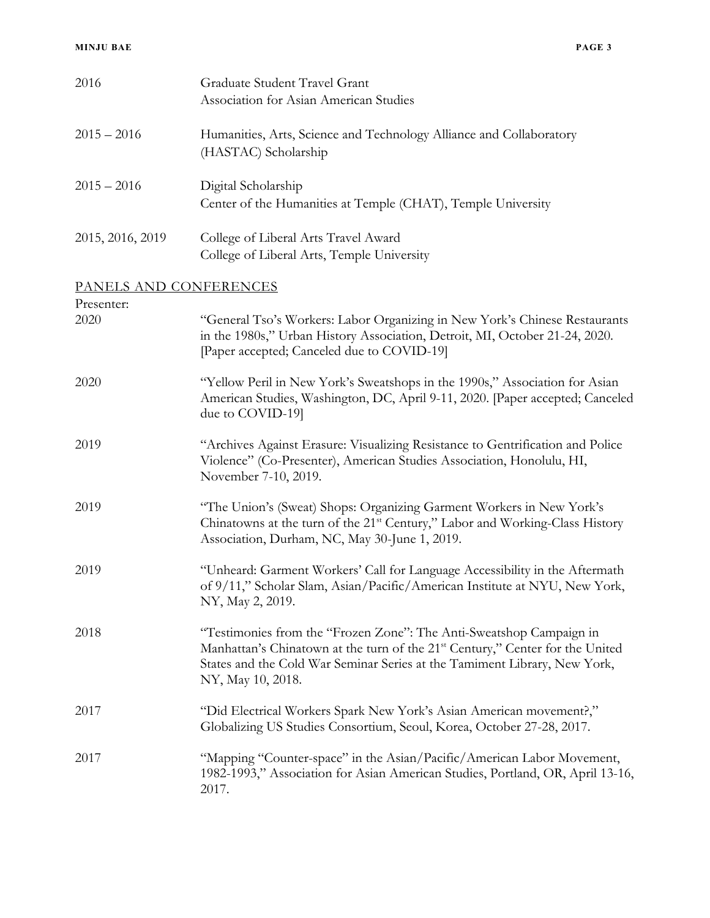| 2016                   | Graduate Student Travel Grant<br>Association for Asian American Studies                                                                                                                                                                                            |
|------------------------|--------------------------------------------------------------------------------------------------------------------------------------------------------------------------------------------------------------------------------------------------------------------|
| $2015 - 2016$          | Humanities, Arts, Science and Technology Alliance and Collaboratory<br>(HASTAC) Scholarship                                                                                                                                                                        |
| $2015 - 2016$          | Digital Scholarship<br>Center of the Humanities at Temple (CHAT), Temple University                                                                                                                                                                                |
| 2015, 2016, 2019       | College of Liberal Arts Travel Award<br>College of Liberal Arts, Temple University                                                                                                                                                                                 |
| PANELS AND CONFERENCES |                                                                                                                                                                                                                                                                    |
| Presenter:<br>2020     | "General Tso's Workers: Labor Organizing in New York's Chinese Restaurants<br>in the 1980s," Urban History Association, Detroit, MI, October 21-24, 2020.<br>[Paper accepted; Canceled due to COVID-19]                                                            |
| 2020                   | "Yellow Peril in New York's Sweatshops in the 1990s," Association for Asian<br>American Studies, Washington, DC, April 9-11, 2020. [Paper accepted; Canceled<br>due to COVID-19]                                                                                   |
| 2019                   | "Archives Against Erasure: Visualizing Resistance to Gentrification and Police<br>Violence" (Co-Presenter), American Studies Association, Honolulu, HI,<br>November 7-10, 2019.                                                                                    |
| 2019                   | "The Union's (Sweat) Shops: Organizing Garment Workers in New York's<br>Chinatowns at the turn of the 21 <sup>st</sup> Century," Labor and Working-Class History<br>Association, Durham, NC, May 30-June 1, 2019.                                                  |
| 2019                   | "Unheard: Garment Workers' Call for Language Accessibility in the Aftermath<br>of 9/11," Scholar Slam, Asian/Pacific/American Institute at NYU, New York,<br>NY, May 2, 2019.                                                                                      |
| 2018                   | "Testimonies from the "Frozen Zone": The Anti-Sweatshop Campaign in<br>Manhattan's Chinatown at the turn of the 21 <sup>st</sup> Century," Center for the United<br>States and the Cold War Seminar Series at the Tamiment Library, New York,<br>NY, May 10, 2018. |
| 2017                   | "Did Electrical Workers Spark New York's Asian American movement?,"<br>Globalizing US Studies Consortium, Seoul, Korea, October 27-28, 2017.                                                                                                                       |
| 2017                   | "Mapping "Counter-space" in the Asian/Pacific/American Labor Movement,<br>1982-1993," Association for Asian American Studies, Portland, OR, April 13-16,<br>2017.                                                                                                  |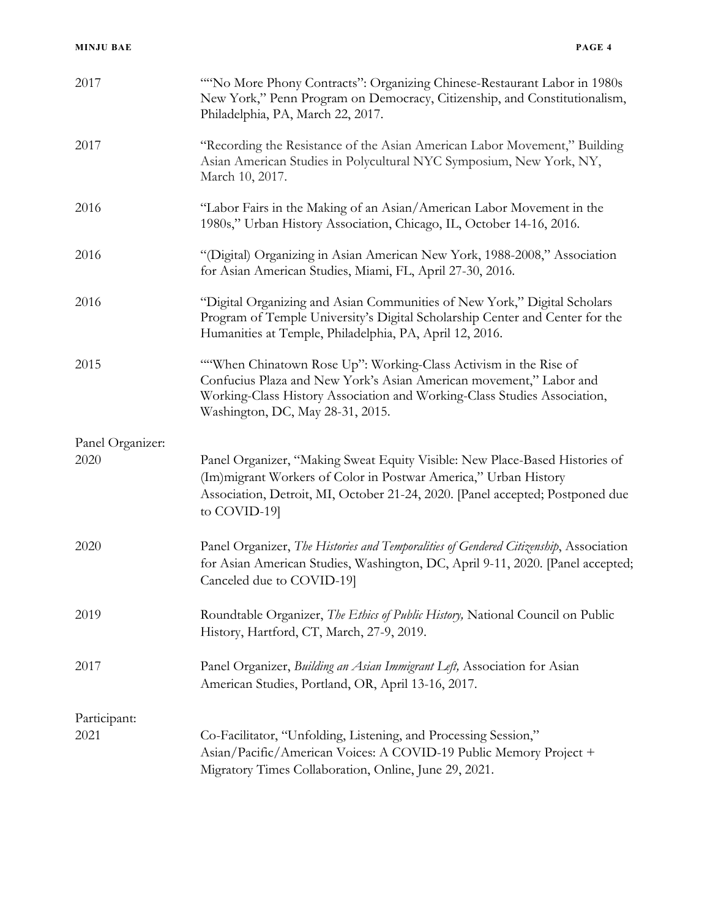| 2017             | "No More Phony Contracts": Organizing Chinese-Restaurant Labor in 1980s<br>New York," Penn Program on Democracy, Citizenship, and Constitutionalism,<br>Philadelphia, PA, March 22, 2017.                                                              |
|------------------|--------------------------------------------------------------------------------------------------------------------------------------------------------------------------------------------------------------------------------------------------------|
| 2017             | "Recording the Resistance of the Asian American Labor Movement," Building<br>Asian American Studies in Polycultural NYC Symposium, New York, NY,<br>March 10, 2017.                                                                                    |
| 2016             | "Labor Fairs in the Making of an Asian/American Labor Movement in the<br>1980s," Urban History Association, Chicago, IL, October 14-16, 2016.                                                                                                          |
| 2016             | "(Digital) Organizing in Asian American New York, 1988-2008," Association<br>for Asian American Studies, Miami, FL, April 27-30, 2016.                                                                                                                 |
| 2016             | "Digital Organizing and Asian Communities of New York," Digital Scholars<br>Program of Temple University's Digital Scholarship Center and Center for the<br>Humanities at Temple, Philadelphia, PA, April 12, 2016.                                    |
| 2015             | ""When Chinatown Rose Up": Working-Class Activism in the Rise of<br>Confucius Plaza and New York's Asian American movement," Labor and<br>Working-Class History Association and Working-Class Studies Association,<br>Washington, DC, May 28-31, 2015. |
| Panel Organizer: |                                                                                                                                                                                                                                                        |
| 2020             | Panel Organizer, "Making Sweat Equity Visible: New Place-Based Histories of<br>(Im) migrant Workers of Color in Postwar America," Urban History<br>Association, Detroit, MI, October 21-24, 2020. [Panel accepted; Postponed due<br>to COVID-19]       |
| 2020             | Panel Organizer, The Histories and Temporalities of Gendered Citizenship, Association<br>for Asian American Studies, Washington, DC, April 9-11, 2020. [Panel accepted;<br>Canceled due to COVID-19]                                                   |
| 2019             | Roundtable Organizer, The Ethics of Public History, National Council on Public<br>History, Hartford, CT, March, 27-9, 2019.                                                                                                                            |
| 2017             | Panel Organizer, Building an Asian Immigrant Left, Association for Asian<br>American Studies, Portland, OR, April 13-16, 2017.                                                                                                                         |
| Participant:     |                                                                                                                                                                                                                                                        |
| 2021             | Co-Facilitator, "Unfolding, Listening, and Processing Session,"<br>Asian/Pacific/American Voices: A COVID-19 Public Memory Project +<br>Migratory Times Collaboration, Online, June 29, 2021.                                                          |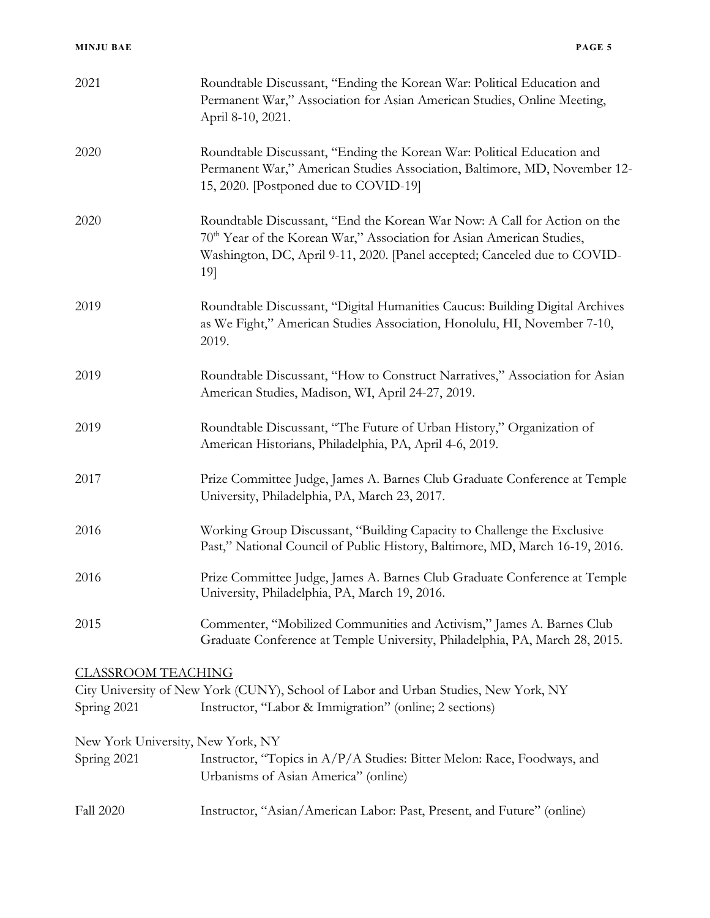| 2021                                             | Roundtable Discussant, "Ending the Korean War: Political Education and<br>Permanent War," Association for Asian American Studies, Online Meeting,<br>April 8-10, 2021.                                                                            |
|--------------------------------------------------|---------------------------------------------------------------------------------------------------------------------------------------------------------------------------------------------------------------------------------------------------|
| 2020                                             | Roundtable Discussant, "Ending the Korean War: Political Education and<br>Permanent War," American Studies Association, Baltimore, MD, November 12-<br>15, 2020. [Postponed due to COVID-19]                                                      |
| 2020                                             | Roundtable Discussant, "End the Korean War Now: A Call for Action on the<br>70 <sup>th</sup> Year of the Korean War," Association for Asian American Studies,<br>Washington, DC, April 9-11, 2020. [Panel accepted; Canceled due to COVID-<br>19] |
| 2019                                             | Roundtable Discussant, "Digital Humanities Caucus: Building Digital Archives<br>as We Fight," American Studies Association, Honolulu, HI, November 7-10,<br>2019.                                                                                 |
| 2019                                             | Roundtable Discussant, "How to Construct Narratives," Association for Asian<br>American Studies, Madison, WI, April 24-27, 2019.                                                                                                                  |
| 2019                                             | Roundtable Discussant, "The Future of Urban History," Organization of<br>American Historians, Philadelphia, PA, April 4-6, 2019.                                                                                                                  |
| 2017                                             | Prize Committee Judge, James A. Barnes Club Graduate Conference at Temple<br>University, Philadelphia, PA, March 23, 2017.                                                                                                                        |
| 2016                                             | Working Group Discussant, "Building Capacity to Challenge the Exclusive<br>Past," National Council of Public History, Baltimore, MD, March 16-19, 2016.                                                                                           |
| 2016                                             | Prize Committee Judge, James A. Barnes Club Graduate Conference at Temple<br>University, Philadelphia, PA, March 19, 2016.                                                                                                                        |
| 2015                                             | Commenter, "Mobilized Communities and Activism," James A. Barnes Club<br>Graduate Conference at Temple University, Philadelphia, PA, March 28, 2015.                                                                                              |
| <u>CLASSROOM TEACHING</u><br>Spring 2021         | City University of New York (CUNY), School of Labor and Urban Studies, New York, NY<br>Instructor, "Labor & Immigration" (online; 2 sections)                                                                                                     |
| New York University, New York, NY<br>Spring 2021 | Instructor, "Topics in A/P/A Studies: Bitter Melon: Race, Foodways, and<br>Urbanisms of Asian America" (online)                                                                                                                                   |
| Fall 2020                                        | Instructor, "Asian/American Labor: Past, Present, and Future" (online)                                                                                                                                                                            |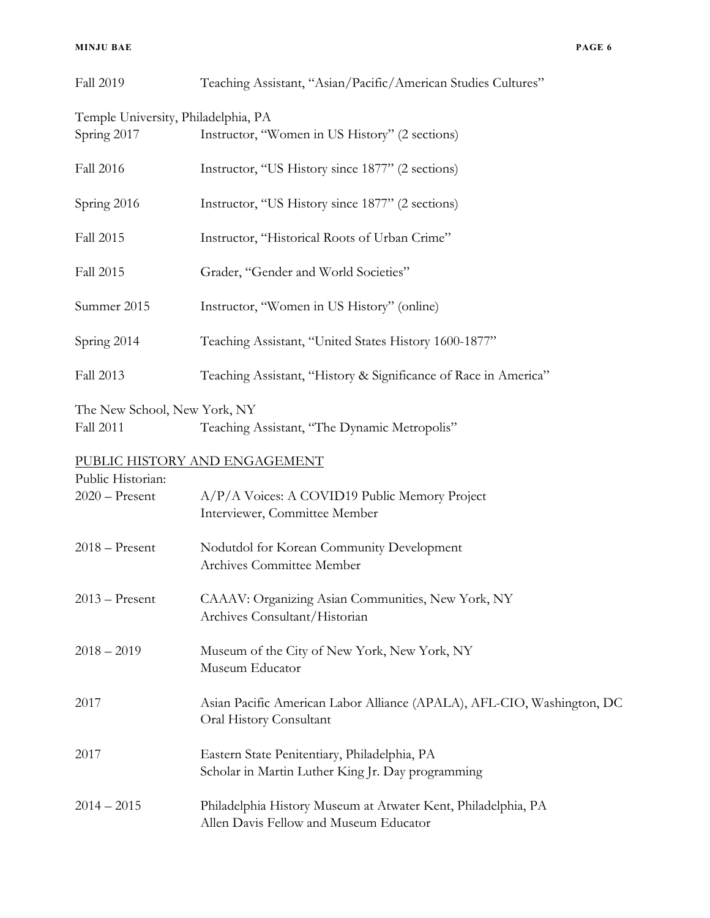| Temple University, Philadelphia, PA<br>Spring 2017 | Instructor, "Women in US History" (2 sections)                                                          |
|----------------------------------------------------|---------------------------------------------------------------------------------------------------------|
| Fall 2016                                          | Instructor, "US History since 1877" (2 sections)                                                        |
| Spring 2016                                        | Instructor, "US History since 1877" (2 sections)                                                        |
| Fall 2015                                          | Instructor, "Historical Roots of Urban Crime"                                                           |
| Fall 2015                                          | Grader, "Gender and World Societies"                                                                    |
| Summer 2015                                        | Instructor, "Women in US History" (online)                                                              |
| Spring 2014                                        | Teaching Assistant, "United States History 1600-1877"                                                   |
| Fall 2013                                          | Teaching Assistant, "History & Significance of Race in America"                                         |
| The New School, New York, NY<br><b>Fall 2011</b>   | Teaching Assistant, "The Dynamic Metropolis"                                                            |
|                                                    | PUBLIC HISTORY AND ENGAGEMENT                                                                           |
| Public Historian:<br>$2020 -$ Present              | A/P/A Voices: A COVID19 Public Memory Project<br>Interviewer, Committee Member                          |
| $2018 -$ Present                                   | Nodutdol for Korean Community Development<br>Archives Committee Member                                  |
| $2013 -$ Present                                   | CAAAV: Organizing Asian Communities, New York, NY<br>Archives Consultant/Historian                      |
| $2018 - 2019$                                      | Museum of the City of New York, New York, NY<br>Museum Educator                                         |
| 2017                                               | Asian Pacific American Labor Alliance (APALA), AFL-CIO, Washington, DC<br>Oral History Consultant       |
| 2017                                               | Eastern State Penitentiary, Philadelphia, PA<br>Scholar in Martin Luther King Jr. Day programming       |
| $2014 - 2015$                                      | Philadelphia History Museum at Atwater Kent, Philadelphia, PA<br>Allen Davis Fellow and Museum Educator |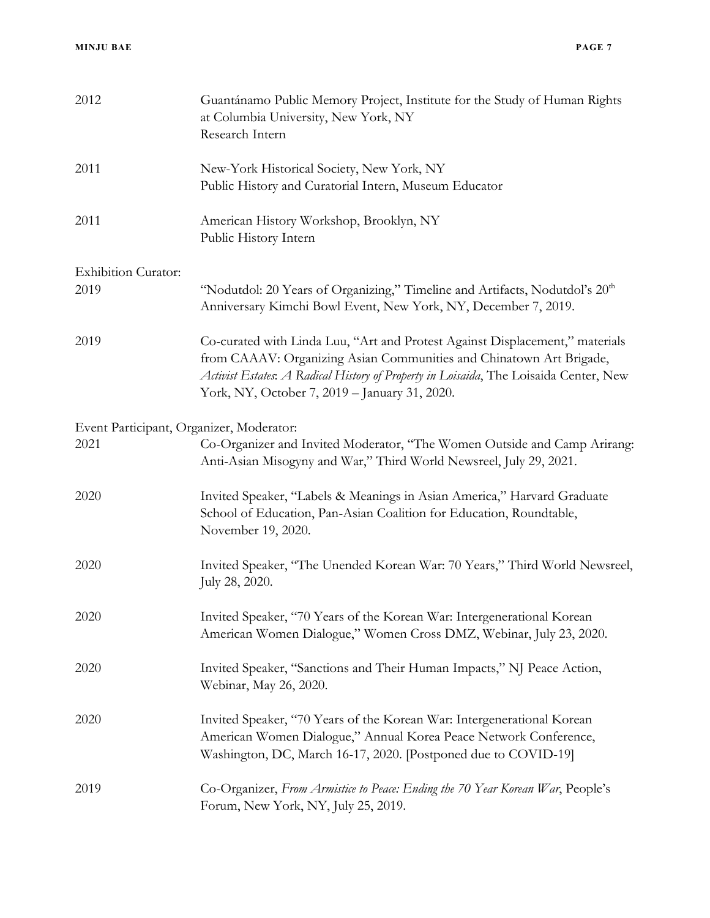| 2012                                     | Guantánamo Public Memory Project, Institute for the Study of Human Rights<br>at Columbia University, New York, NY<br>Research Intern                                                                                                                                                          |
|------------------------------------------|-----------------------------------------------------------------------------------------------------------------------------------------------------------------------------------------------------------------------------------------------------------------------------------------------|
| 2011                                     | New-York Historical Society, New York, NY<br>Public History and Curatorial Intern, Museum Educator                                                                                                                                                                                            |
| 2011                                     | American History Workshop, Brooklyn, NY<br>Public History Intern                                                                                                                                                                                                                              |
| <b>Exhibition Curator:</b>               |                                                                                                                                                                                                                                                                                               |
| 2019                                     | "Nodutdol: 20 Years of Organizing," Timeline and Artifacts, Nodutdol's 20 <sup>th</sup><br>Anniversary Kimchi Bowl Event, New York, NY, December 7, 2019.                                                                                                                                     |
| 2019                                     | Co-curated with Linda Luu, "Art and Protest Against Displacement," materials<br>from CAAAV: Organizing Asian Communities and Chinatown Art Brigade,<br>Activist Estates: A Radical History of Property in Loisaida, The Loisaida Center, New<br>York, NY, October 7, 2019 - January 31, 2020. |
| Event Participant, Organizer, Moderator: |                                                                                                                                                                                                                                                                                               |
| 2021                                     | Co-Organizer and Invited Moderator, "The Women Outside and Camp Arirang:<br>Anti-Asian Misogyny and War," Third World Newsreel, July 29, 2021.                                                                                                                                                |
| 2020                                     | Invited Speaker, "Labels & Meanings in Asian America," Harvard Graduate<br>School of Education, Pan-Asian Coalition for Education, Roundtable,<br>November 19, 2020.                                                                                                                          |
| 2020                                     | Invited Speaker, "The Unended Korean War: 70 Years," Third World Newsreel,<br>July 28, 2020.                                                                                                                                                                                                  |
| 2020                                     | Invited Speaker, "70 Years of the Korean War: Intergenerational Korean<br>American Women Dialogue," Women Cross DMZ, Webinar, July 23, 2020.                                                                                                                                                  |
| 2020                                     | Invited Speaker, "Sanctions and Their Human Impacts," NJ Peace Action,<br>Webinar, May 26, 2020.                                                                                                                                                                                              |
| 2020                                     | Invited Speaker, "70 Years of the Korean War: Intergenerational Korean<br>American Women Dialogue," Annual Korea Peace Network Conference,<br>Washington, DC, March 16-17, 2020. [Postponed due to COVID-19]                                                                                  |
| 2019                                     | Co-Organizer, From Armistice to Peace: Ending the 70 Year Korean War, People's<br>Forum, New York, NY, July 25, 2019.                                                                                                                                                                         |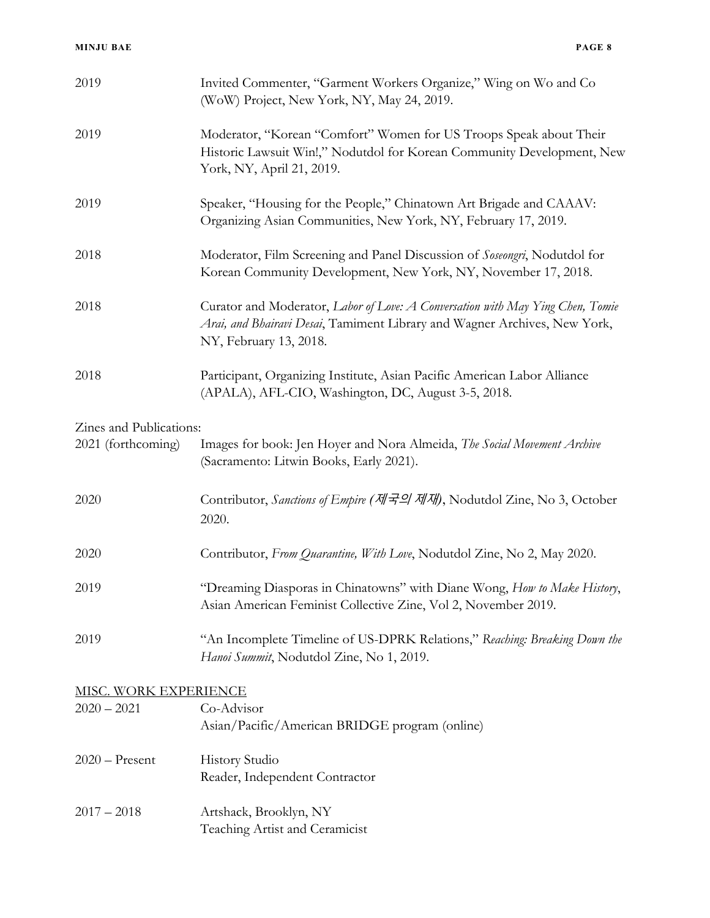| 2019                    | Invited Commenter, "Garment Workers Organize," Wing on Wo and Co<br>(WoW) Project, New York, NY, May 24, 2019.                                                                        |
|-------------------------|---------------------------------------------------------------------------------------------------------------------------------------------------------------------------------------|
| 2019                    | Moderator, "Korean "Comfort" Women for US Troops Speak about Their<br>Historic Lawsuit Win!," Nodutdol for Korean Community Development, New<br>York, NY, April 21, 2019.             |
| 2019                    | Speaker, "Housing for the People," Chinatown Art Brigade and CAAAV:<br>Organizing Asian Communities, New York, NY, February 17, 2019.                                                 |
| 2018                    | Moderator, Film Screening and Panel Discussion of Soseongri, Nodutdol for<br>Korean Community Development, New York, NY, November 17, 2018.                                           |
| 2018                    | Curator and Moderator, Labor of Love: A Conversation with May Ying Chen, Tomie<br>Arai, and Bhairavi Desai, Tamiment Library and Wagner Archives, New York,<br>NY, February 13, 2018. |
| 2018                    | Participant, Organizing Institute, Asian Pacific American Labor Alliance<br>(APALA), AFL-CIO, Washington, DC, August 3-5, 2018.                                                       |
| Zines and Publications: |                                                                                                                                                                                       |
| 2021 (forthcoming)      | Images for book: Jen Hoyer and Nora Almeida, The Social Movement Archive<br>(Sacramento: Litwin Books, Early 2021).                                                                   |
| 2020                    | Contributor, Sanctions of Empire (제국의 제재), Nodutdol Zine, No 3, October<br>2020.                                                                                                      |
| 2020                    | Contributor, From Quarantine, With Love, Nodutdol Zine, No 2, May 2020.                                                                                                               |
| 2019                    | "Dreaming Diasporas in Chinatowns" with Diane Wong, How to Make History,<br>Asian American Feminist Collective Zine, Vol 2, November 2019.                                            |
| 2019                    | "An Incomplete Timeline of US-DPRK Relations," Reaching: Breaking Down the<br>Hanoi Summit, Nodutdol Zine, No 1, 2019.                                                                |
| MISC. WORK EXPERIENCE   |                                                                                                                                                                                       |
| $2020 - 2021$           | Co-Advisor                                                                                                                                                                            |
|                         | Asian/Pacific/American BRIDGE program (online)                                                                                                                                        |
| $2020 -$ Present        | <b>History Studio</b>                                                                                                                                                                 |
|                         | Reader, Independent Contractor                                                                                                                                                        |
| $2017 - 2018$           | Artshack, Brooklyn, NY                                                                                                                                                                |
|                         | Teaching Artist and Ceramicist                                                                                                                                                        |